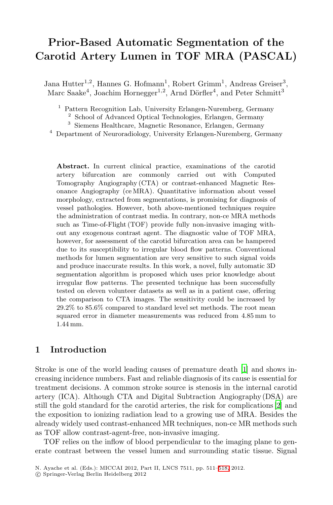# **Prior-Based Automatic Segmentation of the Carotid Artery Lumen in TOF MRA (PASCAL)**

Jana Hutter<sup>1,2</sup>, Hannes G. Hofmann<sup>1</sup>, Robert Grimm<sup>1</sup>, Andreas Greiser<sup>3</sup>, Marc Saake<sup>4</sup>, Joachim Hornegger<sup>1,2</sup>, Arnd Dörfler<sup>4</sup>, and Peter Schmitt<sup>3</sup>

<sup>1</sup> Pattern Recognition Lab, University Erlangen-Nuremberg, Germany

<sup>2</sup> School of Advanced Optical Technologies, Erlangen, Germany

<sup>3</sup> Siemens Healthcare, Magnetic Resonance, Erlangen, Germany

<sup>4</sup> Department of Neuroradiology, University Erlangen-Nuremberg, Germany

**Abstract.** In current clinical practice, examinations of the carotid artery bifurcation are commonly carried out with Computed Tomography Angiography (CTA) or contrast-enhanced Magnetic Resonance Angiography (ce MRA). Quantitative information about vessel morphology, extracted from segmentations, is promising for diagnosis of vessel pathologies. However, both above-mentioned techniques require the administration of contrast media. In contrary, non-ce MRA methods such as Time-of-Flight (TOF) provide fully non-invasive imaging without any exogenous contrast agent. The diagnostic value of TOF MRA, however, for assessment of the carotid bifurcation area can be hampered due to its susceptibility to irregular blood flow patterns. Conventional methods for lumen segmentation are very sensitive to such signal voids and produce inaccurate results. In this work, a novel, fully automatic 3D segmentation algorithm is proposed which uses prior knowledge about irregular flow patterns. The presented technique has been successfully tested on eleven volunteer datasets as well as in a patient case, offering the comparison to CTA images. The se[nsi](#page-6-0)tivity could be increased by 29.2% to 85.6% compared to standard level set methods. The root mean squared error in diameter measurements was reduced from 4.85 mm to 1.44 mm.

# **1 Introduction**

Stroke is one of the world leading causes of premature death [1] and shows increasing incidence numbers. Fast and reliable diagnosis of its cause is essential for treatment decisions. A common stroke source is stenosis in the internal carotid artery (ICA). Although CTA and D[igita](#page-7-0)l Subtraction Angiography (DSA) are still the gold standard for the carotid arteries, the risk for complications [2] and the exposition to ionizing radiation lead to a growing use of MRA. Besides the already widely used contrast-enhanced MR techniques, non-ce MR methods such as TOF allow contrast-agent-free, non-invasive imaging.

TOF relies on the inflow of blood perpendicular to the imaging plane to generate contrast between the vessel lumen and surrounding static tissue. Signal

N. Ayache et al. (Eds.): MICCAI 2012, Part II, LNCS 7511, pp. 511–518, 2012.

<sup>-</sup>c Springer-Verlag Berlin Heidelberg 2012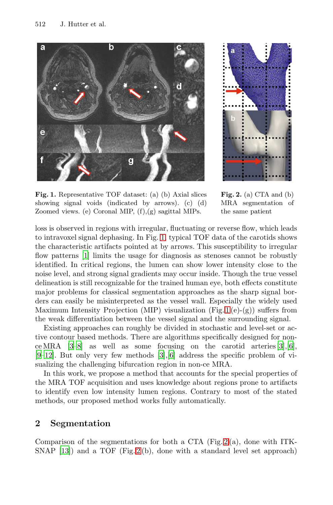#### 512 J. Hutter et al.

<span id="page-1-0"></span>

<span id="page-1-1"></span>

**Fig. 1.** Representative TOF dataset: (a) (b) Axial slices showing signal voids (indicated by arrows). (c) (d) Zoomed views. (e) Coronal MIP, (f),(g) sagittal MIPs.

**Fig. 2.** (a) CTA and (b) MRA segmentation of the same patient

loss is observed in regions with irregular, fluctuating or reverse flow, which leads to intravoxel signal dephasing. In Fig. 1[, t](#page-1-0)ypical TOF data of the carotids shows the characteristic artifacts pointed at by arrows. This susceptibility to irregular flow patterns [1] limits the usage for diagnosis as stenoses cannot be robustly identified. In critical regions, the lumen can show lower intensity close to the noise level, and strong signal gradients may occur inside[. T](#page-7-1)[ho](#page-7-2)ugh the true vessel delineation is still r[eco](#page-7-1)[gn](#page-7-2)izable for the trained human eye, both effects constitute major problems for classical segmentation approaches as the sharp signal borders can easily be misinterpreted as the vessel wall. Especially the widely used Maximum Intensity Projection (MIP) visualization (Fig. 1 (e)-(g)) suffers from the weak differentiation between the vessel signal and the surrounding signal.

Existing approaches can roughly be divided in stochastic and level-set or active contour based methods. There are algorithms specifically designed for nonce MRA  $[3-8]$  as well as some focusing on the carotid arteries  $[3]$ ,  $[6]$ ,  $[9-12]$ . But only very few methods  $[3]$ ,  $[6]$  address the specific problem of visualizing the challenging bifurcation region in non-ce MRA.

In this work, we propose a method t[ha](#page-1-1)t accounts for the special properties of the MRA T[OF](#page-1-1) acquisition and uses knowledge about regions prone to artifacts to identify even low intensity lumen regions. Contrary to most of the stated methods, our proposed method works fully automatically.

## **2 Segmentation**

Comparison of the segmentations for both a CTA (Fig.  $2(a)$ , done with ITK-SNAP [13]) and a TOF (Fig. 2 (b), done with a standard level set approach)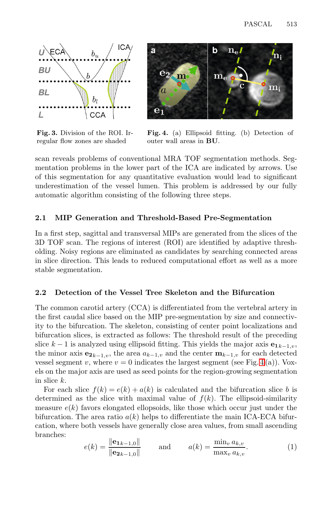

<span id="page-2-0"></span>

**Fig. 3.** Division of the ROI. Irregular flow zones are shaded

**Fig. 4.** (a) Ellipsoid fitting. (b) Detection of outer wall areas in **BU**.

scan reveals problems of conventional MRA TOF segmentation methods. Segmentation problems in the lower part of the ICA are indicated by arrows. Use of this segmentation for any quantitative evaluation would lead to significant underestimation of the vessel lumen. This problem is addressed by our fully automatic algorithm consisting of the following three steps.

## **2.1 MIP Generation and Threshold-Based Pre-Segmentation**

In a first step, sagittal and transversal MIPs are generated from the slices of the 3D TOF scan. The regions of interest (ROI) are identified by adaptive thresholding. Noisy regions are eliminated as candidates by searching connected areas in slice direction. This leads to reduced computational effort as well as a more stable segmentation.

#### **2.2 Detection of the Vessel Tree Skeleton [an](#page-2-0)d the Bifurcation**

The common carotid artery (CCA) is differentiated from the vertebral artery in the first caudal slice based on the MIP pre-segmentation by size and connectivity to the bifurcation. The skeleton, consisting of center point localizations and bifurcation slices, is extracted as follows: The threshold result of the preceding slice  $k - 1$  is analyzed using ellipsoid fitting. This yields the major axis  $\mathbf{e}_{1k-1,y}$ , the minor axis  $e_{2k-1,v}$ , the area  $a_{k-1,v}$  and the center  $\mathbf{m}_{k-1,v}$  for each detected vessel segment v, where  $v = 0$  indicates the largest segment (see Fig. 4(a)). Voxels on the major axis are used as seed points for the region-growing segmentation in slice k.

For each slice  $f(k) = e(k) + a(k)$  is calculated and the bifurcation slice b is determined as the slice with maximal value of  $f(k)$ . The ellipsoid-similarity measure  $e(k)$  favors elongated ellopsoids, like those which occur just under the bifurcation. The area ratio  $a(k)$  helps to differentiate the main ICA-ECA bifurcation, where both vessels have generally close area values, from small ascending branches:

$$
e(k) = \frac{\|\mathbf{e}_{1k-1,0}\|}{\|\mathbf{e}_{2k-1,0}\|} \quad \text{and} \quad a(k) = \frac{\min_v a_{k,v}}{\max_v a_{k,v}}.\tag{1}
$$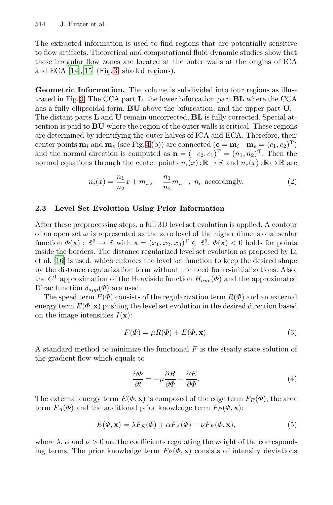514 J. Hutter et al.

The extracted information is used to find regions that are potentially sensitive to flow artifacts. Theoretical and computational fluid dynamic studies show that these irregular flow zones are located at the outer walls at the origins of ICA and ECA [14],[[15](#page-2-0)] (Fig. 3, shaded regions).

**Geometric Information.** The volume is subdivided into four regions as illustrated in Fig. 3: The CCA part **L**, the lower bifurcation part **BL** where the CCA has a fully ellipsoidal form, **BU** above the bifurcation, and the upper part **U**. The distant parts **L** and **U** remain uncorrected, **BL** is fully corrected. Special attention is paid to **BU** where the region of the outer walls is critical. These regions are determined by identifying the outer halves of ICA and ECA. Therefore, their center points  $\mathbf{m}_i$  and  $\mathbf{m}_e$  (see Fig. 4(b)) are connected ( $\mathbf{c} = \mathbf{m}_i - \mathbf{m}_e = (c_1, c_2)^T$ ) and the normal direction is computed as  $\mathbf{n} = (-c_2, c_1)^T = (n_1, n_2)^T$ . Then the normal equations through the center points  $n_i(x)$ :  $\mathbb{R} \mapsto \mathbb{R}$  and  $n_e(x)$ :  $\mathbb{R} \mapsto \mathbb{R}$  are

$$
n_i(x) = \frac{n_1}{n_2}x + m_{i,2} - \frac{n_1}{n_2}m_{i,1} , n_e \text{ accordingly.}
$$
 (2)

## **2.3 Level Set Evolution Using Prior Information**

After these preprocessing steps, a full 3D level set evolution is applied. A contour of an open set  $\omega$  is represented as the zero level of the higher dimensional scalar function  $\Phi(\mathbf{x}) : \mathbb{R}^3 \mapsto \mathbb{R}$  with  $\mathbf{x} = (x_1, x_2, x_3)^T \in \mathbb{R}^3$ .  $\Phi(\mathbf{x}) < 0$  holds for points inside the borders. The distance regularized level set evolution as proposed by Li et al. [16] is used, which enforces the level set function to keep the desired shape by the distance regularization term without the need for re-initializations. Also, the  $C^1$  approximation of the Heaviside function  $H_{app}(\Phi)$  and the approximated Dirac function  $\delta_{app}(\Phi)$  are used.

The speed term  $F(\Phi)$  consists of the regularization term  $R(\Phi)$  and an external energy term  $E(\Phi, \mathbf{x})$  pushing the level set evolution in the desired direction based on the image intensities  $I(\mathbf{x})$ :

$$
F(\Phi) = \mu R(\Phi) + E(\Phi, \mathbf{x}).\tag{3}
$$

A standard method to minimize the functional  $F$  is the steady state solution of the gradient flow which equals to

$$
\frac{\partial \Phi}{\partial t} = -\mu \frac{\partial R}{\partial \Phi} - \frac{\partial E}{\partial \Phi}.
$$
\n(4)

The external energy term  $E(\Phi, \mathbf{x})$  is composed of the edge term  $F_E(\Phi)$ , the area term  $F_A(\Phi)$  and the additional prior knowledge term  $F_P(\Phi, \mathbf{x})$ :

$$
E(\Phi, \mathbf{x}) = \lambda F_E(\Phi) + \alpha F_A(\Phi) + \nu F_P(\Phi, \mathbf{x}), \tag{5}
$$

where  $\lambda$ ,  $\alpha$  and  $\nu > 0$  are the coefficients regulating the weight of the corresponding terms. The prior knowledge term  $F_P(\Phi, \mathbf{x})$  consists of intensity deviations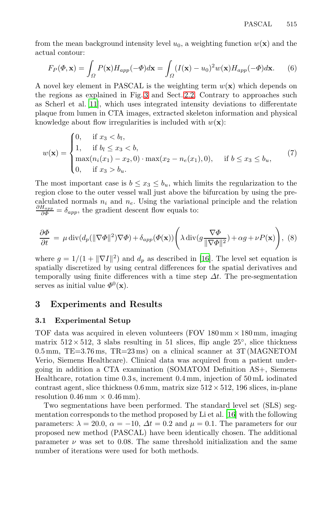from the mean background intensity level  $u_0$ , a weighting function  $w(\mathbf{x})$  and the actual contour:

$$
F_P(\Phi, \mathbf{x}) = \int_{\Omega} P(\mathbf{x}) H_{app}(-\Phi) d\mathbf{x} = \int_{\Omega} (I(\mathbf{x}) - u_0)^2 w(\mathbf{x}) H_{app}(-\Phi) d\mathbf{x}.
$$
 (6)

A novel key element in PASCAL is the weighting term  $w(\mathbf{x})$  which depends on the regions as explained in Fig. 3 and Sect. 2.2. Contrary to approaches such as Scherl et al. [11], which uses integrated intensity deviations to differentate plaque from lumen in CTA images, extracted skeleton information and physical knowledge about flow irregularities is included with  $w(\mathbf{x})$ :

$$
w(\mathbf{x}) = \begin{cases} 0, & \text{if } x_3 < b_l, \\ 1, & \text{if } b_l \le x_3 < b, \\ \max(n_i(x_1) - x_2, 0) \cdot \max(x_2 - n_e(x_1), 0), & \text{if } b \le x_3 \le b_u, \\ 0, & \text{if } x_3 > b_u. \end{cases} \tag{7}
$$

The most important case is  $b \leq x_3 \leq b_u$ , which limits the regularization to the region close to the outer vessel [wall](#page-7-3) just above the bifurcation by using the precalculated normals  $n_i$  and  $n_e$ . Using the variational principle and the relation  $\frac{\partial H_{app}}{\partial \phi} = \delta_{app}$ , the gradient descent flow equals to:

$$
\frac{\partial \Phi}{\partial t} = \mu \operatorname{div} (d_p(\|\nabla \Phi\|^2) \nabla \Phi) + \delta_{app} (\Phi(\mathbf{x})) \left( \lambda \operatorname{div} (g \frac{\nabla \Phi}{\|\nabla \Phi\|^2}) + \alpha g + \nu P(\mathbf{x}) \right), \tag{8}
$$

where  $g = 1/(1 + ||\nabla I||^2)$  and  $d_p$  as described in [16]. The level set equation is spatially discretized by using central differences for the spatial derivatives and temporally using finite differences with a time step  $\Delta t$ . The pre-segmentation serves as initial value  $\Phi^0(\mathbf{x})$ .

## **3 Experiments and Results**

#### **3.1 Experimental Setup**

TOF data was acquired in eleven volunteers (FOV  $180 \text{ mm} \times 180 \text{ mm}$ , imaging matrix  $512 \times 512$ , 3 slabs resulting in [51 s](#page-7-3)lices, flip angle  $25^\circ$ , slice thickness  $0.5$  mm, TE=3.76 ms, TR=23 ms) on a clinical scanner at 3T (MAGNETOM Verio, Siemens Healthcare). Clinical data was acquired from a patient undergoing in addition a CTA examination (SOMATOM Definition AS+, Siemens Healthcare, rotation time 0.3 s, increment 0.4 mm, injection of 50 mL iodinated contrast agent, slice thickness  $0.6$  mm, matrix size  $512 \times 512$ , 196 slices, in-plane resolution  $0.46 \text{ mm} \times 0.46 \text{ mm}$ .

Two segmentations have been performed. The standard level set (SLS) segmentation corresponds to the method proposed by Li et al. [16] with the following parameters:  $\lambda = 20.0$ ,  $\alpha = -10$ ,  $\Delta t = 0.2$  and  $\mu = 0.1$ . The parameters for our proposed new method (PASCAL) have been identically chosen. The additional parameter  $\nu$  was set to 0.08. The same threshold initialization and the same number of iterations were used for both methods.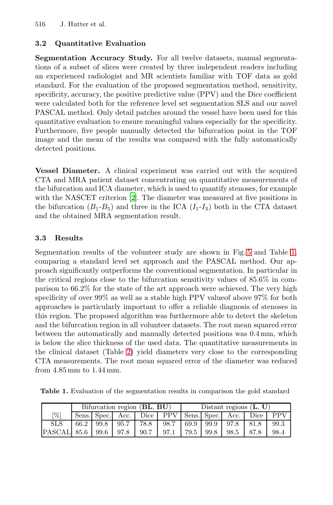516 J. Hutter et al.

### **3.2 Quantitative Evaluation**

**Segmentation Accuracy Study.** For all twelve datasets, manual segmentations of a subset of slices were created by three independent readers including an experienced radiologist and MR scientists familiar with TOF data as gold standard. For the evaluation of the proposed segmentation method, sensitivity, specificity, accuracy, the positive predictive value (PPV) and the Dice coefficient were calculated both for the reference level set segmentation SLS and our novel PASCAL method. Only detail patches around the vessel have been used for this quantitative evaluation to ensure meaningful values especially for the specificity. Furthermo[re](#page-6-1), five people manually detected the bifurcation point in the TOF image and the mean of the results was compared with the fully automatically detected positions.

**Vessel Diameter.** A clinical experiment was carried out with the acquired CTA and MRA patient dataset concentrating [o](#page-6-2)n quantitat[ive](#page-5-0) measurements of the bifurcation and ICA diameter, which is used to quantify stenoses, for example with the NASCET criterion [2]. The diameter was measured at five positions in the bifurcation  $(B_1-B_5)$  and three in the ICA  $(I_1-I_3)$  both in the CTA dataset and the obtained MRA segmentation result.

#### **3.3 Results**

<span id="page-5-0"></span>Segmentation results of the volunteer study are shown in Fig. 5 and Table 1, comparing a standard level set approach and the PASCAL method. Our approach significantly outperforms the conventional segmentation. In particular in the critic[al](#page-6-3) regions close to the bifurcation sensitivity values of 85.6% in comparison to 66.2% for the state of the art approach were achieved. The very high specificity of over 99% as well as a stable high PPV valueof above 97% for both approaches is particularly important to offer a reliable diagnosis of stenoses in this region. The proposed algorithm was furthermore able to detect the skeleton and the bifurcation region in all volunteer datasets. The root mean squared error between the automatically and manually detected positions was 0.4 mm, which is below the slice thickness of the used data. The quantitative measurements in the clinical dataset (Table 2) yield diameters very close to the corresponding CTA measurements. The root mean squared error of the diameter was reduced from 4.85 mm to 1.44 mm.

**Table 1.** Evaluation of the segmentation results in comparison the gold standard

|                           | Bifurcation region (BL, BU) |  |                |      |                                                 | Distant regions $(L, U)$ |      |      |      |            |  |
|---------------------------|-----------------------------|--|----------------|------|-------------------------------------------------|--------------------------|------|------|------|------------|--|
| [%]                       |                             |  |                |      | Sens. Spec. Acc. Dice PPV Sens. Spec. Acc. Dice |                          |      |      |      | <b>PPV</b> |  |
| <b>SLS</b>                |                             |  | 66.2 99.8 95.7 | 78.8 | 98.7                                            | 69.9                     | 99.9 | 97.8 | 81.8 | 99.3       |  |
| PASCAL 85.6   99.6   97.8 |                             |  |                | 90.7 | 97.1                                            | 79.5                     | 99.8 | 98.5 | 87.8 | 98.4       |  |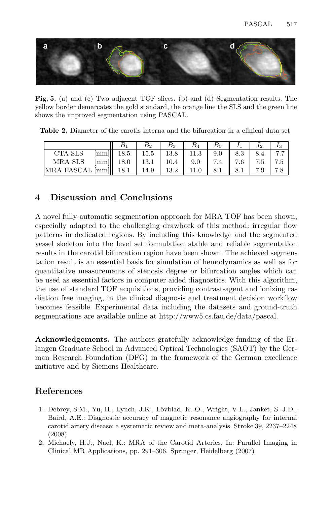<span id="page-6-2"></span>

<span id="page-6-3"></span>**Fig. 5.** (a) and (c) Two adjacent TOF slices. (b) and (d) Segmentation results. The yellow border demarcates the gold standard, the orange line the SLS and the green line shows the improved segmentation using PASCAL.

**Table 2.** Diameter of the carotis interna and the bifurcation in a clinical data set

|                                                  |                                          |                                                              | $B_{3}$                                    | $B_4$ | $B_5$ |                     | I <sub>2</sub> |  |
|--------------------------------------------------|------------------------------------------|--------------------------------------------------------------|--------------------------------------------|-------|-------|---------------------|----------------|--|
| CTA SLS                                          |                                          | $\lceil \text{mm} \rceil \rceil$ 18.5 15.5 13.8 11.3 9.0 8.3 |                                            |       |       |                     | 8.4 7.7        |  |
| MRA SLS                                          | $\lfloor \text{mm} \rfloor \rfloor$ 18.0 |                                                              | 13.1   10.4   9.0   7.4    7.6   7.5   7.5 |       |       |                     |                |  |
| MRA PASCAL $\lceil \text{mm} \rceil \rceil$ 18.1 |                                          |                                                              | 14.9   13.2   11.0                         |       |       | $8.1 \parallel 8.1$ |                |  |

# **4 Discussion and Conclusions**

A novel fully automatic segmentation approach for MRA TOF has been shown, especially adapted to the challenging drawback of this method: irregular flow patterns in dedicated regions. By including this knowledge and the segmented vessel skeleton into the level set formulation stable and reliable segmentation results in the carotid bifurcation region have been shown. The achieved segmentation result is an essential basis for simulation of hemodynamics as well as for quantitative measurements of stenosis degree or bifurcation angles which can be used as essential factors in computer aided diagnostics. With this algorithm, the use of standard TOF acquisitions, providing contrast-agent and ionizing radiation free imaging, in the clinical diagnosis and treatment decision workflow becomes feasible. Experimental data including the datasets and ground-truth segmentations are available online at http://www5.cs.fau.de/data/pascal.

<span id="page-6-0"></span>**Acknowledgements.** The authors gratefully acknowledge funding of the Erlangen Graduate School in Advanced Optical Technologies (SAOT) by the German Research Foundation (DFG) in the framework of the German excellence initiative and by Siemens Healthcare.

# <span id="page-6-1"></span>**References**

- 1. Debrey, S.M., Yu, H., Lynch, J.K., L¨ovblad, K.-O., Wright, V.L., Janket, S.-J.D., Baird, A.E.: Diagnostic accuracy of magnetic resonance angiography for internal carotid artery disease: a systematic review and meta-analysis. Stroke 39, 2237–2248 (2008)
- 2. Michaely, H.J., Nael, K.: MRA of the Carotid Arteries. In: Parallel Imaging in Clinical MR Applications, pp. 291–306. Springer, Heidelberg (2007)